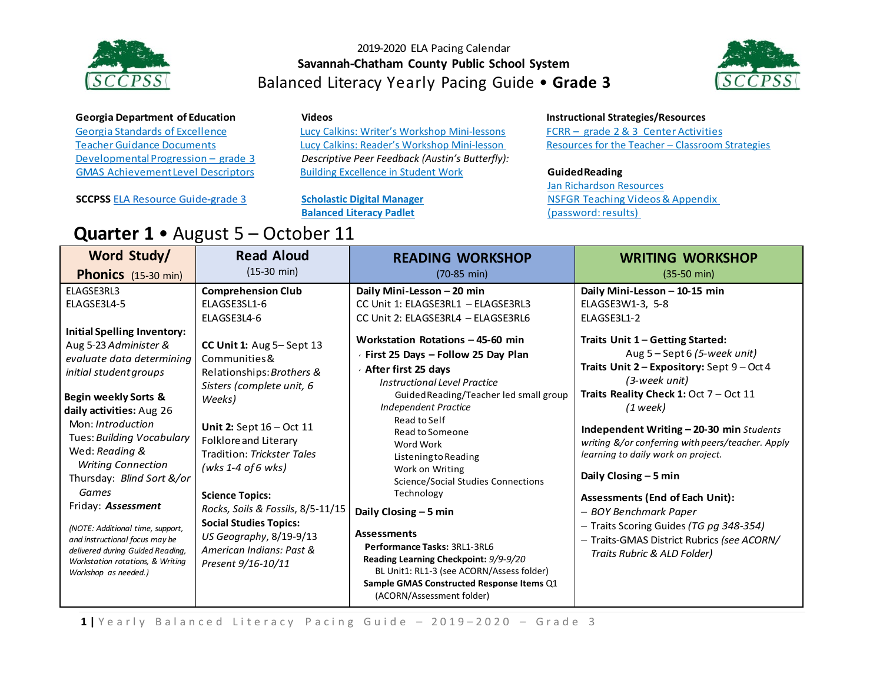



### **Georgia Department of Education**

Georgia Standards of [Excellence](https://drive.google.com/file/d/0B9TBXLcHMe3WRDdoLW5RTkFZenc/view) Teacher Guidance Documents Developmental Progression – grade 3 GMAS [AchievementLevel](https://www.gadoe.org/Curriculum-Instruction-and-Assessment/Assessment/Documents/Milestones/ALD/ALDS_for_Grade_3_Milestones_EOG_ELA.pdf) Descriptors

**SCCPSS** ELA [Resource](https://drive.google.com/file/d/0B3Uu6Ml6RRkDT2c1TXRMUTJRTlE/view) Guide**-**grade 3

**Quarter 1** • August 5 – October 11

#### **Videos**

[Lucy Calkins: Writer's Workshop Mini-lessons](https://www.youtube.com/watch?v=zPRM2ZXyrS0&list=PLb5RXypPqP5sNAYNUDEfwaq2QYPauhCcc) [Lucy Calkins: Reader's Workshop Mini-lesson](https://www.youtube.com/watch?v=AwCNOjuhVDY&list=PL11B81A18DF41BEC6) *Descriptive Peer Feedback (Austin's Butterfly):* [Building Excellence in Student Work](https://vimeo.com/38247060)

**[Scholastic Digital Manager](https://digital.scholastic.com/#/signin) [Balanced Literacy Padlet](https://padlet.com/janet_junco/p9tlqzh52l56)**

### **Instructional Strategies/Resources**

FCRR – grade 2 & 3 Center [Activities](http://www.fcrr.org/resources/resources_sca_2-3.html) [Resources f](http://www.fcrr.org/resources/resources_sca_k-1.html)or the Teacher – [Classroom Strategies](http://www.fortheteachers.org/instructional_strategies/)

#### **GuidedReading**

[Jan Richardson Resources](http://www.janrichardsonguidedreading.com/resources-1) NSFGR Teaching Videos& [Appendix](http://www.scholastic.com/NSFresources/) (password: results)

| Word Study/                                                                                                                                                                                                                                                                                                                                                                                                                                                                                                   | <b>Read Aloud</b>                                                                                                                                                                                                                                                                                                                                                                                     | <b>READING WORKSHOP</b>                                                                                                                                                                                                                                                                                                                                                                                                                                                                                                                                                                                      | <b>WRITING WORKSHOP</b>                                                                                                                                                                                                                                                                                                                                                                                                                                                                                                                             |
|---------------------------------------------------------------------------------------------------------------------------------------------------------------------------------------------------------------------------------------------------------------------------------------------------------------------------------------------------------------------------------------------------------------------------------------------------------------------------------------------------------------|-------------------------------------------------------------------------------------------------------------------------------------------------------------------------------------------------------------------------------------------------------------------------------------------------------------------------------------------------------------------------------------------------------|--------------------------------------------------------------------------------------------------------------------------------------------------------------------------------------------------------------------------------------------------------------------------------------------------------------------------------------------------------------------------------------------------------------------------------------------------------------------------------------------------------------------------------------------------------------------------------------------------------------|-----------------------------------------------------------------------------------------------------------------------------------------------------------------------------------------------------------------------------------------------------------------------------------------------------------------------------------------------------------------------------------------------------------------------------------------------------------------------------------------------------------------------------------------------------|
|                                                                                                                                                                                                                                                                                                                                                                                                                                                                                                               | $(15-30 \text{ min})$                                                                                                                                                                                                                                                                                                                                                                                 | $(70-85 \text{ min})$                                                                                                                                                                                                                                                                                                                                                                                                                                                                                                                                                                                        | $(35-50 \text{ min})$                                                                                                                                                                                                                                                                                                                                                                                                                                                                                                                               |
| <b>Phonics</b> (15-30 min)<br>ELAGSE3RL3                                                                                                                                                                                                                                                                                                                                                                                                                                                                      | <b>Comprehension Club</b>                                                                                                                                                                                                                                                                                                                                                                             | Daily Mini-Lesson - 20 min                                                                                                                                                                                                                                                                                                                                                                                                                                                                                                                                                                                   | Daily Mini-Lesson - 10-15 min                                                                                                                                                                                                                                                                                                                                                                                                                                                                                                                       |
| ELAGSE3L4-5                                                                                                                                                                                                                                                                                                                                                                                                                                                                                                   | ELAGSE3SL1-6                                                                                                                                                                                                                                                                                                                                                                                          | CC Unit 1: ELAGSE3RL1 - ELAGSE3RL3                                                                                                                                                                                                                                                                                                                                                                                                                                                                                                                                                                           | ELAGSE3W1-3, 5-8                                                                                                                                                                                                                                                                                                                                                                                                                                                                                                                                    |
|                                                                                                                                                                                                                                                                                                                                                                                                                                                                                                               | ELAGSE3L4-6                                                                                                                                                                                                                                                                                                                                                                                           | CC Unit 2: ELAGSE3RL4 - ELAGSE3RL6                                                                                                                                                                                                                                                                                                                                                                                                                                                                                                                                                                           | ELAGSE3L1-2                                                                                                                                                                                                                                                                                                                                                                                                                                                                                                                                         |
| Initial Spelling Inventory:<br>Aug 5-23 Administer &<br>evaluate data determining<br>initial student groups<br><b>Begin weekly Sorts &amp;</b><br>daily activities: Aug 26<br>Mon: Introduction<br>Tues: Building Vocabulary<br>Wed: Reading &<br><b>Writing Connection</b><br>Thursday: Blind Sort &/or<br>Games<br>Friday: Assessment<br>(NOTE: Additional time, support,<br>and instructional focus may be<br>delivered during Guided Reading,<br>Workstation rotations, & Writing<br>Workshop as needed.) | CC Unit 1: Aug 5-Sept 13<br>Communities &<br>Relationships: Brothers &<br>Sisters (complete unit, 6<br>Weeks)<br>Unit 2: Sept $16 - Oct$ 11<br>Folklore and Literary<br>Tradition: Trickster Tales<br>(wks 1-4 of 6 wks)<br><b>Science Topics:</b><br>Rocks, Soils & Fossils, 8/5-11/15<br><b>Social Studies Topics:</b><br>US Geography, 8/19-9/13<br>American Indians: Past &<br>Present 9/16-10/11 | Workstation Rotations - 45-60 min<br>First 25 Days - Follow 25 Day Plan<br>After first 25 days<br><b>Instructional Level Practice</b><br>Guided Reading/Teacher led small group<br><b>Independent Practice</b><br>Read to Self<br>Read to Someone<br>Word Work<br>Listening to Reading<br>Work on Writing<br>Science/Social Studies Connections<br>Technology<br>Daily Closing - 5 min<br><b>Assessments</b><br>Performance Tasks: 3RL1-3RL6<br>Reading Learning Checkpoint: 9/9-9/20<br>BL Unit1: RL1-3 (see ACORN/Assess folder)<br>Sample GMAS Constructed Response Items Q1<br>(ACORN/Assessment folder) | Traits Unit 1 - Getting Started:<br>Aug 5 - Sept 6 (5-week unit)<br>Traits Unit 2 - Expository: Sept 9 - Oct 4<br>(3-week unit)<br>Traits Reality Check 1: Oct 7 - Oct 11<br>$(1$ week)<br>Independent Writing - 20-30 min Students<br>writing &/or conferring with peers/teacher. Apply<br>learning to daily work on project.<br>Daily Closing $-5$ min<br><b>Assessments (End of Each Unit):</b><br>- BOY Benchmark Paper<br>- Traits Scoring Guides (TG pg 348-354)<br>- Traits-GMAS District Rubrics (see ACORN/<br>Traits Rubric & ALD Folder) |

1 | Yearly Balanced Literacy Pacing Guide - 2019-2020 - Grade 3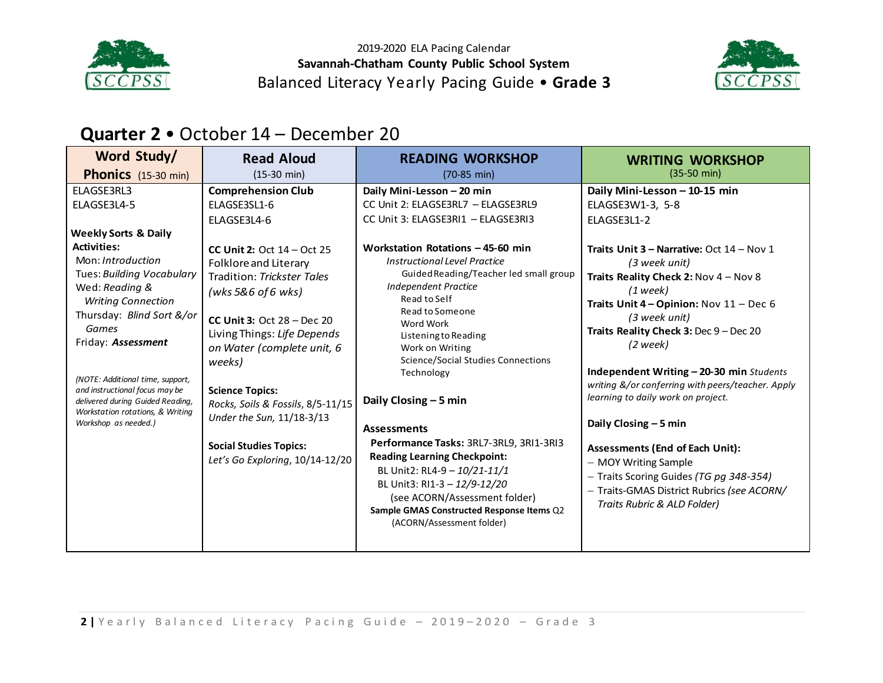



# **Quarter 2** • October 14 – December 20

| Word Study/                                                                                                                                                                                                                                                                                                                                                                                                           | <b>Read Aloud</b>                                                                                                                                                                                                                                                                                                                                                                                                                                              | <b>READING WORKSHOP</b>                                                                                                                                                                                                                                                                                                                                                                                                                                                                                                                                                                       | <b>WRITING WORKSHOP</b>                                                                                                                                                                                                                                                                                                                                                                                                                                                                                                                                                                                                                                               |
|-----------------------------------------------------------------------------------------------------------------------------------------------------------------------------------------------------------------------------------------------------------------------------------------------------------------------------------------------------------------------------------------------------------------------|----------------------------------------------------------------------------------------------------------------------------------------------------------------------------------------------------------------------------------------------------------------------------------------------------------------------------------------------------------------------------------------------------------------------------------------------------------------|-----------------------------------------------------------------------------------------------------------------------------------------------------------------------------------------------------------------------------------------------------------------------------------------------------------------------------------------------------------------------------------------------------------------------------------------------------------------------------------------------------------------------------------------------------------------------------------------------|-----------------------------------------------------------------------------------------------------------------------------------------------------------------------------------------------------------------------------------------------------------------------------------------------------------------------------------------------------------------------------------------------------------------------------------------------------------------------------------------------------------------------------------------------------------------------------------------------------------------------------------------------------------------------|
| <b>Phonics</b> (15-30 min)                                                                                                                                                                                                                                                                                                                                                                                            | $(15-30 \text{ min})$                                                                                                                                                                                                                                                                                                                                                                                                                                          | $(70-85 \text{ min})$                                                                                                                                                                                                                                                                                                                                                                                                                                                                                                                                                                         | $(35-50 \text{ min})$                                                                                                                                                                                                                                                                                                                                                                                                                                                                                                                                                                                                                                                 |
| ELAGSE3RL3<br>ELAGSE3L4-5<br><b>Weekly Sorts &amp; Daily</b><br><b>Activities:</b><br>Mon: Introduction<br>Tues: Building Vocabulary<br>Wed: Reading &<br><b>Writing Connection</b><br>Thursday: Blind Sort &/or<br>Games<br>Friday: Assessment<br>(NOTE: Additional time, support,<br>and instructional focus may be<br>delivered during Guided Reading,<br>Workstation rotations, & Writing<br>Workshop as needed.) | <b>Comprehension Club</b><br>ELAGSE3SL1-6<br>ELAGSE3L4-6<br><b>CC Unit 2: Oct <math>14 - Oct</math> 25</b><br>Folklore and Literary<br>Tradition: Trickster Tales<br>(wks 5&6 of 6 wks)<br>CC Unit 3: Oct $28 - Dec 20$<br>Living Things: Life Depends<br>on Water (complete unit, 6<br>weeks)<br><b>Science Topics:</b><br>Rocks, Soils & Fossils, 8/5-11/15<br>Under the Sun, 11/18-3/13<br><b>Social Studies Topics:</b><br>Let's Go Exploring, 10/14-12/20 | Daily Mini-Lesson - 20 min<br>CC Unit 2: ELAGSE3RL7 - ELAGSE3RL9<br>CC Unit 3: ELAGSE3RI1 - ELAGSE3RI3<br>Workstation Rotations - 45-60 min<br>Instructional Level Practice<br>Guided Reading/Teacher led small group<br>Independent Practice<br>Read to Self<br>Read to Someone<br>Word Work<br>Listening to Reading<br>Work on Writing<br>Science/Social Studies Connections<br>Technology<br>Daily Closing - 5 min<br><b>Assessments</b><br>Performance Tasks: 3RL7-3RL9, 3RI1-3RI3<br><b>Reading Learning Checkpoint:</b><br>BL Unit2: RL4-9 - 10/21-11/1<br>BL Unit3: RI1-3 - 12/9-12/20 | Daily Mini-Lesson - 10-15 min<br>ELAGSE3W1-3, 5-8<br>ELAGSE3L1-2<br><b>Traits Unit 3 - Narrative: Oct <math>14</math> - Nov 1</b><br>(3 week unit)<br>Traits Reality Check 2: Nov 4 - Nov 8<br>$(1$ week)<br>Traits Unit $4$ – Opinion: Nov $11$ – Dec 6<br>(3 week unit)<br>Traits Reality Check 3: Dec 9 - Dec 20<br>$(2 \text{ week})$<br>Independent Writing - 20-30 min Students<br>writing &/or conferring with peers/teacher. Apply<br>learning to daily work on project.<br>Daily Closing $-5$ min<br><b>Assessments (End of Each Unit):</b><br>- MOY Writing Sample<br>- Traits Scoring Guides (TG pg 348-354)<br>- Traits-GMAS District Rubrics (see ACORN/ |
|                                                                                                                                                                                                                                                                                                                                                                                                                       |                                                                                                                                                                                                                                                                                                                                                                                                                                                                | (see ACORN/Assessment folder)<br>Sample GMAS Constructed Response Items Q2<br>(ACORN/Assessment folder)                                                                                                                                                                                                                                                                                                                                                                                                                                                                                       | Traits Rubric & ALD Folder)                                                                                                                                                                                                                                                                                                                                                                                                                                                                                                                                                                                                                                           |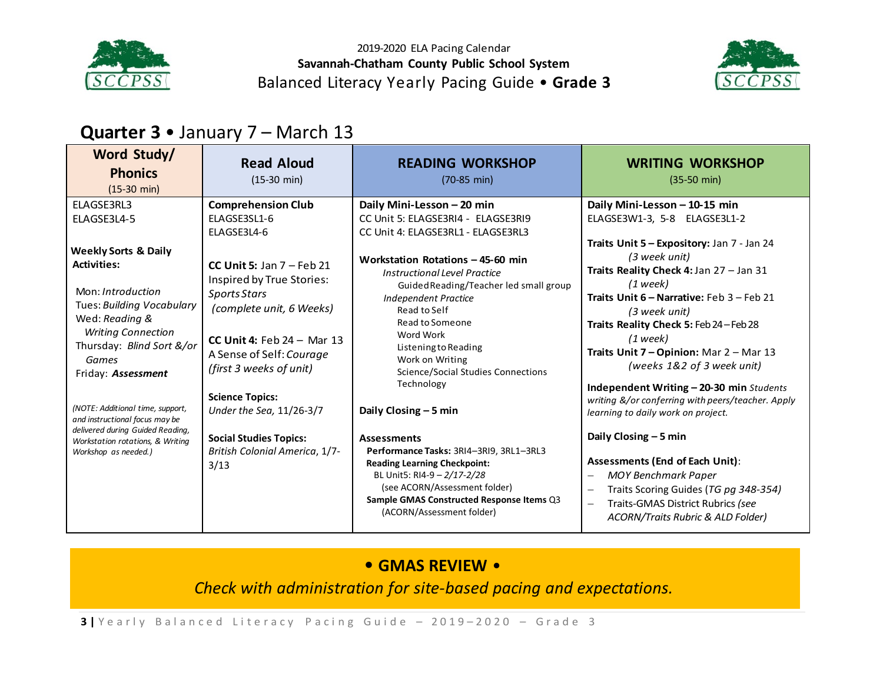



# **Quarter 3** • January 7 – March 13

| Word Study/<br><b>Phonics</b><br>$(15-30 \text{ min})$                                                                                                                                                                                                                                                                                                                                   | <b>Read Aloud</b><br>$(15-30 \text{ min})$                                                                                                                                                                                                                                                                                          | <b>READING WORKSHOP</b><br>$(70-85 \text{ min})$                                                                                                                                                                                                                                                                                                                                                                                                                                                                                                                      | <b>WRITING WORKSHOP</b><br>$(35-50 \text{ min})$                                                                                                                                                                                                                                                                                                                                                                                                                                                                                                                                                                                                                                                                                                                     |
|------------------------------------------------------------------------------------------------------------------------------------------------------------------------------------------------------------------------------------------------------------------------------------------------------------------------------------------------------------------------------------------|-------------------------------------------------------------------------------------------------------------------------------------------------------------------------------------------------------------------------------------------------------------------------------------------------------------------------------------|-----------------------------------------------------------------------------------------------------------------------------------------------------------------------------------------------------------------------------------------------------------------------------------------------------------------------------------------------------------------------------------------------------------------------------------------------------------------------------------------------------------------------------------------------------------------------|----------------------------------------------------------------------------------------------------------------------------------------------------------------------------------------------------------------------------------------------------------------------------------------------------------------------------------------------------------------------------------------------------------------------------------------------------------------------------------------------------------------------------------------------------------------------------------------------------------------------------------------------------------------------------------------------------------------------------------------------------------------------|
| ELAGSE3RL3<br>ELAGSE3L4-5                                                                                                                                                                                                                                                                                                                                                                | <b>Comprehension Club</b><br>ELAGSE3SL1-6<br>ELAGSE3L4-6                                                                                                                                                                                                                                                                            | Daily Mini-Lesson - 20 min<br>CC Unit 5: ELAGSE3RI4 - ELAGSE3RI9<br>CC Unit 4: ELAGSE3RL1 - ELAGSE3RL3                                                                                                                                                                                                                                                                                                                                                                                                                                                                | Daily Mini-Lesson - 10-15 min<br>ELAGSE3W1-3, 5-8 ELAGSE3L1-2                                                                                                                                                                                                                                                                                                                                                                                                                                                                                                                                                                                                                                                                                                        |
| <b>Weekly Sorts &amp; Daily</b><br><b>Activities:</b><br>Mon: Introduction<br>Tues: Building Vocabulary<br>Wed: Reading &<br><b>Writing Connection</b><br>Thursday: Blind Sort &/or<br>Games<br>Friday: Assessment<br>(NOTE: Additional time, support,<br>and instructional focus may be<br>delivered during Guided Reading,<br>Workstation rotations, & Writing<br>Workshop as needed.) | CC Unit 5: Jan $7$ – Feb 21<br>Inspired by True Stories:<br><b>Sports Stars</b><br>(complete unit, 6 Weeks)<br>CC Unit 4: Feb $24 -$ Mar 13<br>A Sense of Self: Courage<br>(first 3 weeks of unit)<br><b>Science Topics:</b><br>Under the Sea, 11/26-3/7<br><b>Social Studies Topics:</b><br>British Colonial America, 1/7-<br>3/13 | Workstation Rotations - 45-60 min<br>Instructional Level Practice<br>Guided Reading/Teacher led small group<br><b>Independent Practice</b><br>Read to Self<br>Read to Someone<br>Word Work<br>Listening to Reading<br>Work on Writing<br>Science/Social Studies Connections<br>Technology<br>Daily Closing $-5$ min<br><b>Assessments</b><br>Performance Tasks: 3RI4-3RI9, 3RL1-3RL3<br><b>Reading Learning Checkpoint:</b><br>BL Unit5: RI4-9 - 2/17-2/28<br>(see ACORN/Assessment folder)<br>Sample GMAS Constructed Response Items Q3<br>(ACORN/Assessment folder) | Traits Unit 5 - Expository: Jan 7 - Jan 24<br>(3 week unit)<br>Traits Reality Check 4: Jan 27 - Jan 31<br>(1 week)<br>Traits Unit 6 - Narrative: Feb 3 - Feb 21<br>(3 week unit)<br>Traits Reality Check 5: Feb 24 - Feb 28<br>$(1$ week)<br>Traits Unit 7 - Opinion: Mar 2 - Mar 13<br>(weeks 1&2 of 3 week unit)<br>Independent Writing $-$ 20-30 min Students<br>writing &/or conferring with peers/teacher. Apply<br>learning to daily work on project.<br>Daily Closing $-5$ min<br><b>Assessments (End of Each Unit):</b><br><b>MOY Benchmark Paper</b><br>$\overline{\phantom{0}}$<br>Traits Scoring Guides (TG pg 348-354)<br>$\overline{\phantom{0}}$<br>Traits-GMAS District Rubrics (see<br>$\overline{\phantom{0}}$<br>ACORN/Traits Rubric & ALD Folder) |

## • **GMAS REVIEW** •

*Check with administration for site-based pacing and expectations.*

**3** | Yearly Balanced Literacy Pacing Guide - 2019-2020 - Grade 3